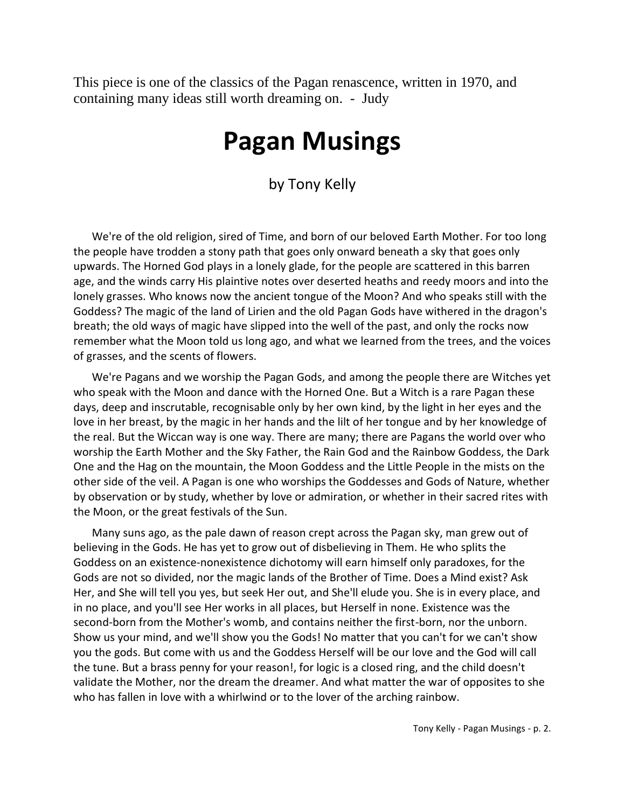This piece is one of the classics of the Pagan renascence, written in 1970, and containing many ideas still worth dreaming on. - Judy

## **Pagan Musings**

by Tony Kelly

We're of the old religion, sired of Time, and born of our beloved Earth Mother. For too long the people have trodden a stony path that goes only onward beneath a sky that goes only upwards. The Horned God plays in a lonely glade, for the people are scattered in this barren age, and the winds carry His plaintive notes over deserted heaths and reedy moors and into the lonely grasses. Who knows now the ancient tongue of the Moon? And who speaks still with the Goddess? The magic of the land of Lirien and the old Pagan Gods have withered in the dragon's breath; the old ways of magic have slipped into the well of the past, and only the rocks now remember what the Moon told us long ago, and what we learned from the trees, and the voices of grasses, and the scents of flowers.

We're Pagans and we worship the Pagan Gods, and among the people there are Witches yet who speak with the Moon and dance with the Horned One. But a Witch is a rare Pagan these days, deep and inscrutable, recognisable only by her own kind, by the light in her eyes and the love in her breast, by the magic in her hands and the lilt of her tongue and by her knowledge of the real. But the Wiccan way is one way. There are many; there are Pagans the world over who worship the Earth Mother and the Sky Father, the Rain God and the Rainbow Goddess, the Dark One and the Hag on the mountain, the Moon Goddess and the Little People in the mists on the other side of the veil. A Pagan is one who worships the Goddesses and Gods of Nature, whether by observation or by study, whether by love or admiration, or whether in their sacred rites with the Moon, or the great festivals of the Sun.

Many suns ago, as the pale dawn of reason crept across the Pagan sky, man grew out of believing in the Gods. He has yet to grow out of disbelieving in Them. He who splits the Goddess on an existence-nonexistence dichotomy will earn himself only paradoxes, for the Gods are not so divided, nor the magic lands of the Brother of Time. Does a Mind exist? Ask Her, and She will tell you yes, but seek Her out, and She'll elude you. She is in every place, and in no place, and you'll see Her works in all places, but Herself in none. Existence was the second-born from the Mother's womb, and contains neither the first-born, nor the unborn. Show us your mind, and we'll show you the Gods! No matter that you can't for we can't show you the gods. But come with us and the Goddess Herself will be our love and the God will call the tune. But a brass penny for your reason!, for logic is a closed ring, and the child doesn't validate the Mother, nor the dream the dreamer. And what matter the war of opposites to she who has fallen in love with a whirlwind or to the lover of the arching rainbow.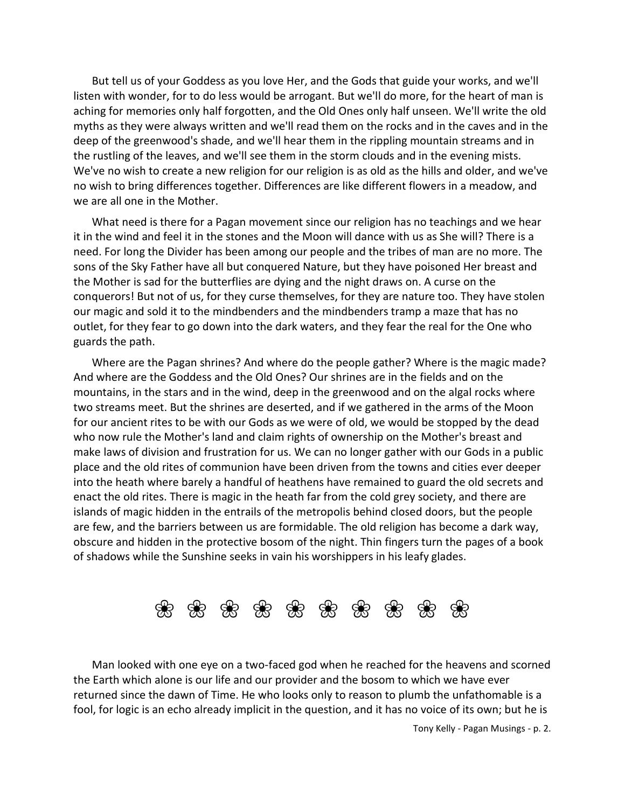But tell us of your Goddess as you love Her, and the Gods that guide your works, and we'll listen with wonder, for to do less would be arrogant. But we'll do more, for the heart of man is aching for memories only half forgotten, and the Old Ones only half unseen. We'll write the old myths as they were always written and we'll read them on the rocks and in the caves and in the deep of the greenwood's shade, and we'll hear them in the rippling mountain streams and in the rustling of the leaves, and we'll see them in the storm clouds and in the evening mists. We've no wish to create a new religion for our religion is as old as the hills and older, and we've no wish to bring differences together. Differences are like different flowers in a meadow, and we are all one in the Mother.

What need is there for a Pagan movement since our religion has no teachings and we hear it in the wind and feel it in the stones and the Moon will dance with us as She will? There is a need. For long the Divider has been among our people and the tribes of man are no more. The sons of the Sky Father have all but conquered Nature, but they have poisoned Her breast and the Mother is sad for the butterflies are dying and the night draws on. A curse on the conquerors! But not of us, for they curse themselves, for they are nature too. They have stolen our magic and sold it to the mindbenders and the mindbenders tramp a maze that has no outlet, for they fear to go down into the dark waters, and they fear the real for the One who guards the path.

Where are the Pagan shrines? And where do the people gather? Where is the magic made? And where are the Goddess and the Old Ones? Our shrines are in the fields and on the mountains, in the stars and in the wind, deep in the greenwood and on the algal rocks where two streams meet. But the shrines are deserted, and if we gathered in the arms of the Moon for our ancient rites to be with our Gods as we were of old, we would be stopped by the dead who now rule the Mother's land and claim rights of ownership on the Mother's breast and make laws of division and frustration for us. We can no longer gather with our Gods in a public place and the old rites of communion have been driven from the towns and cities ever deeper into the heath where barely a handful of heathens have remained to guard the old secrets and enact the old rites. There is magic in the heath far from the cold grey society, and there are islands of magic hidden in the entrails of the metropolis behind closed doors, but the people are few, and the barriers between us are formidable. The old religion has become a dark way, obscure and hidden in the protective bosom of the night. Thin fingers turn the pages of a book of shadows while the Sunshine seeks in vain his worshippers in his leafy glades.



Man looked with one eye on a two-faced god when he reached for the heavens and scorned the Earth which alone is our life and our provider and the bosom to which we have ever returned since the dawn of Time. He who looks only to reason to plumb the unfathomable is a fool, for logic is an echo already implicit in the question, and it has no voice of its own; but he is

Tony Kelly - Pagan Musings - p. 2.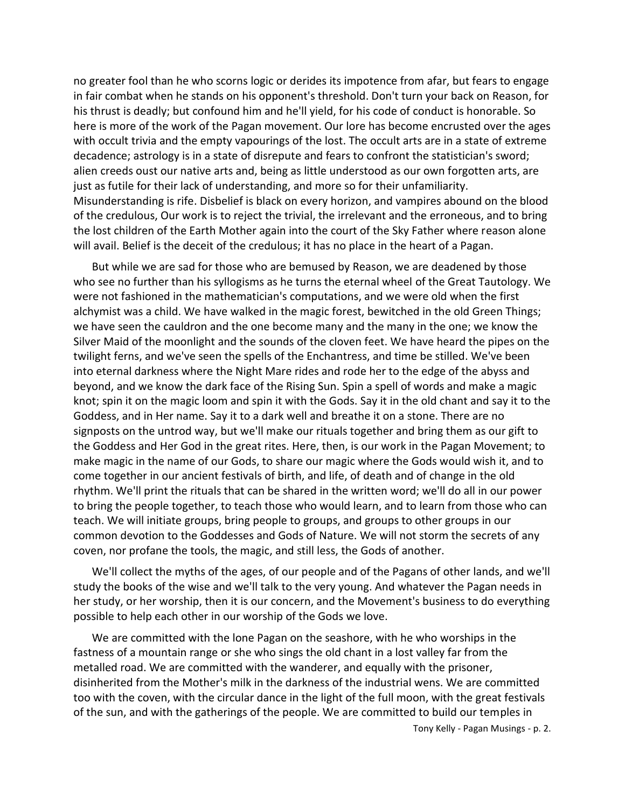no greater fool than he who scorns logic or derides its impotence from afar, but fears to engage in fair combat when he stands on his opponent's threshold. Don't turn your back on Reason, for his thrust is deadly; but confound him and he'll yield, for his code of conduct is honorable. So here is more of the work of the Pagan movement. Our lore has become encrusted over the ages with occult trivia and the empty vapourings of the lost. The occult arts are in a state of extreme decadence; astrology is in a state of disrepute and fears to confront the statistician's sword; alien creeds oust our native arts and, being as little understood as our own forgotten arts, are just as futile for their lack of understanding, and more so for their unfamiliarity. Misunderstanding is rife. Disbelief is black on every horizon, and vampires abound on the blood of the credulous, Our work is to reject the trivial, the irrelevant and the erroneous, and to bring the lost children of the Earth Mother again into the court of the Sky Father where reason alone will avail. Belief is the deceit of the credulous; it has no place in the heart of a Pagan.

But while we are sad for those who are bemused by Reason, we are deadened by those who see no further than his syllogisms as he turns the eternal wheel of the Great Tautology. We were not fashioned in the mathematician's computations, and we were old when the first alchymist was a child. We have walked in the magic forest, bewitched in the old Green Things; we have seen the cauldron and the one become many and the many in the one; we know the Silver Maid of the moonlight and the sounds of the cloven feet. We have heard the pipes on the twilight ferns, and we've seen the spells of the Enchantress, and time be stilled. We've been into eternal darkness where the Night Mare rides and rode her to the edge of the abyss and beyond, and we know the dark face of the Rising Sun. Spin a spell of words and make a magic knot; spin it on the magic loom and spin it with the Gods. Say it in the old chant and say it to the Goddess, and in Her name. Say it to a dark well and breathe it on a stone. There are no signposts on the untrod way, but we'll make our rituals together and bring them as our gift to the Goddess and Her God in the great rites. Here, then, is our work in the Pagan Movement; to make magic in the name of our Gods, to share our magic where the Gods would wish it, and to come together in our ancient festivals of birth, and life, of death and of change in the old rhythm. We'll print the rituals that can be shared in the written word; we'll do all in our power to bring the people together, to teach those who would learn, and to learn from those who can teach. We will initiate groups, bring people to groups, and groups to other groups in our common devotion to the Goddesses and Gods of Nature. We will not storm the secrets of any coven, nor profane the tools, the magic, and still less, the Gods of another.

We'll collect the myths of the ages, of our people and of the Pagans of other lands, and we'll study the books of the wise and we'll talk to the very young. And whatever the Pagan needs in her study, or her worship, then it is our concern, and the Movement's business to do everything possible to help each other in our worship of the Gods we love.

We are committed with the lone Pagan on the seashore, with he who worships in the fastness of a mountain range or she who sings the old chant in a lost valley far from the metalled road. We are committed with the wanderer, and equally with the prisoner, disinherited from the Mother's milk in the darkness of the industrial wens. We are committed too with the coven, with the circular dance in the light of the full moon, with the great festivals of the sun, and with the gatherings of the people. We are committed to build our temples in